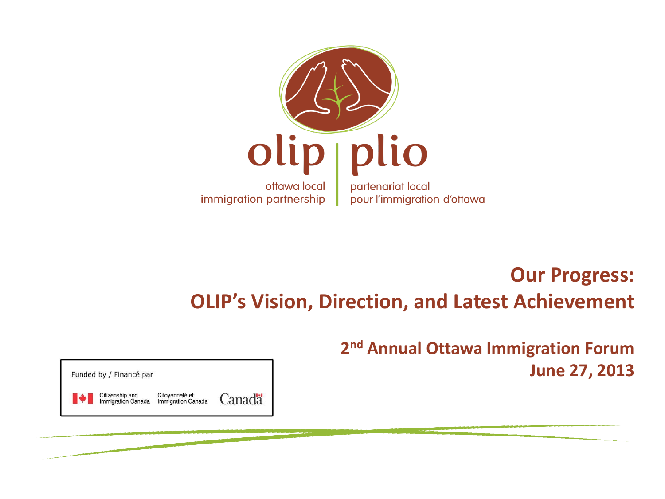

#### **Our Progress: OLIP's Vision, Direction, and Latest Achievement**

**2 nd Annual Ottawa Immigration Forum June 27, 2013**

Funded by / Financé par

Citoyenneté et Citizenship and Canadä migration Canada **Immigration Canada**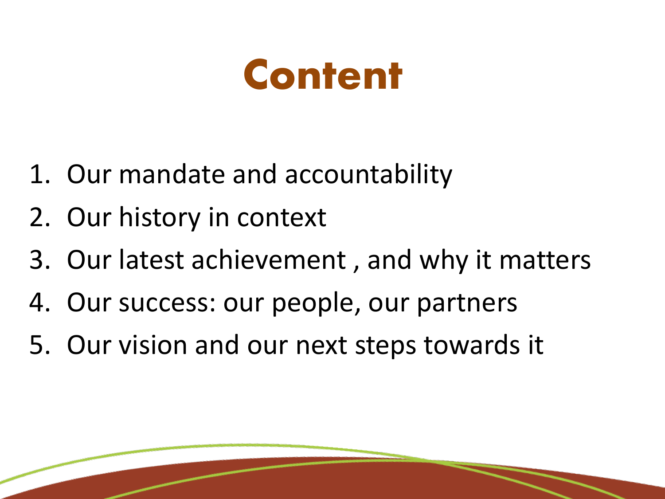### **Content**

- 1. Our mandate and accountability
- 2. Our history in context
- 3. Our latest achievement , and why it matters
- 4. Our success: our people, our partners
- 5. Our vision and our next steps towards it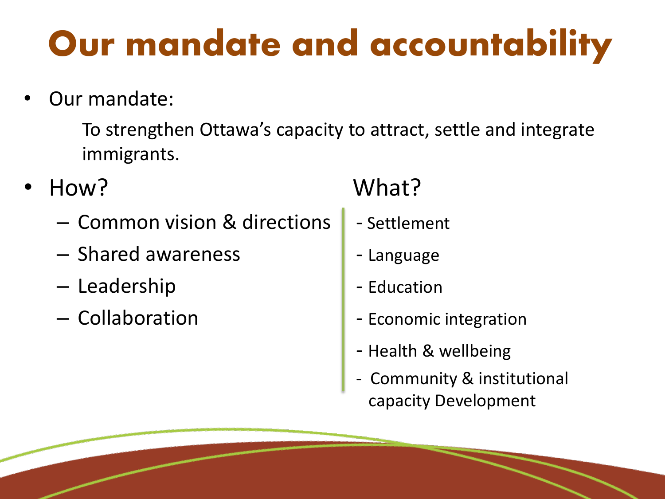### Our mandate and accountability

Our mandate:

To strengthen Ottawa's capacity to attract, settle and integrate immigrants.

- - Common vision & directions | Settlement
	- Shared awareness **Fig. 1** Language
	- Leadership and a late of the Leadership
	-

#### • How? What?

- 
- 
- 
- Collaboration **Figure 1** Economic integration
	- Health & wellbeing
	- Community & institutional capacity Development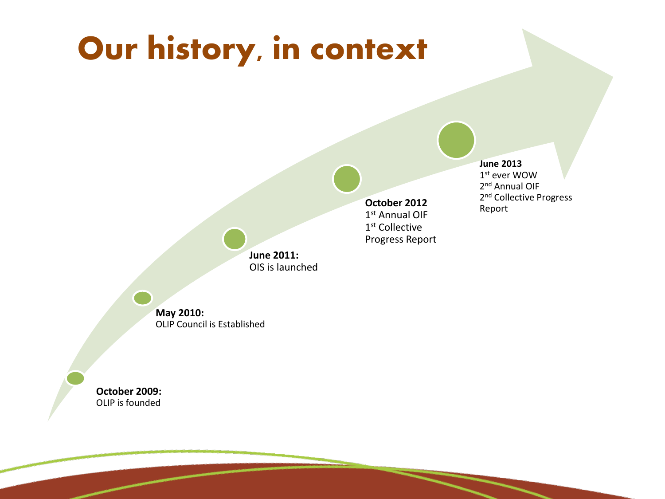#### Our history, in context

**October 2012**  1 st Annual OIF 1 st Collective Progress Report

#### **June 2013**

1 st ever WOW 2<sup>nd</sup> Annual OIF 2<sup>nd</sup> Collective Progress Report

**June 2011:** OIS is launched

**May 2010:**  OLIP Council is Established

**October 2009:** OLIP is founded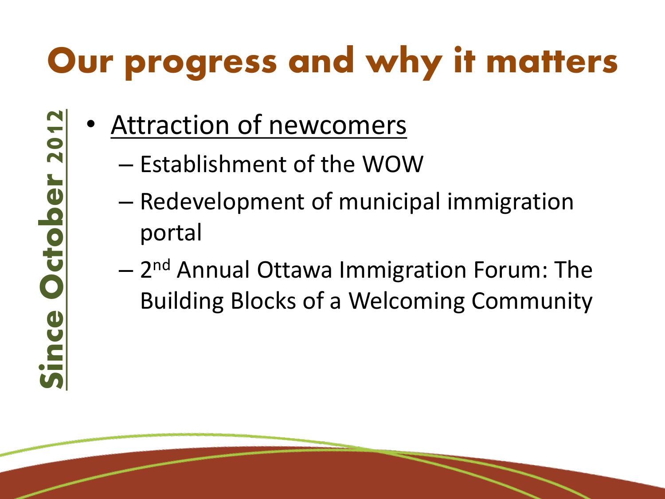Attraction of newcomers

Since October 2012ince October 2012

- Establishment of the WOW
- Redevelopment of municipal immigration portal
- $-$  2<sup>nd</sup> Annual Ottawa Immigration Forum: The Building Blocks of a Welcoming Community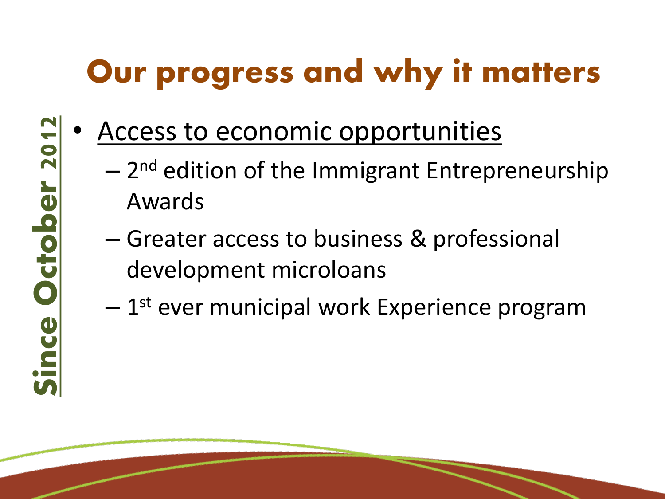- Access to economic opportunities
	- $-$  2<sup>nd</sup> edition of the Immigrant Entrepreneurship Awards
	- Greater access to business & professional development microloans
	- $-1<sup>st</sup>$  ever municipal work Experience program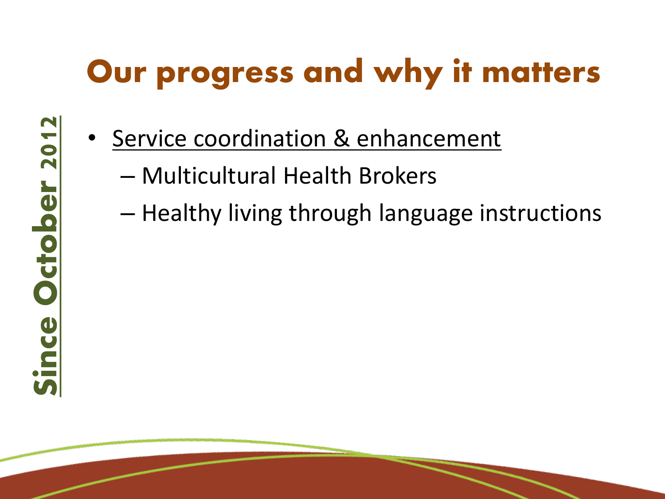- Service coordination & enhancement
	- Multicultural Health Brokers
	- Healthy living through language instructions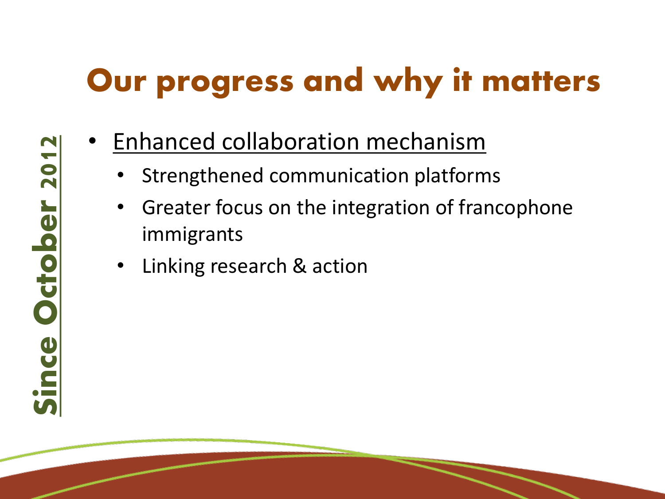- Enhanced collaboration mechanism
	- Strengthened communication platforms
	- Greater focus on the integration of francophone immigrants
	- Linking research & action

Since October 2012Since October 2012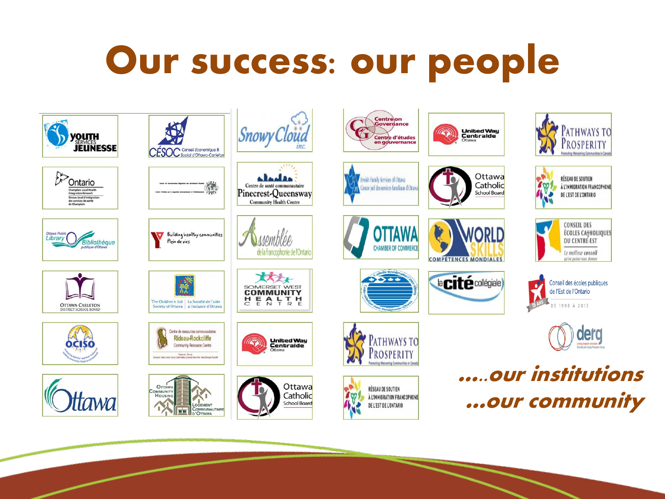## Our success: our people

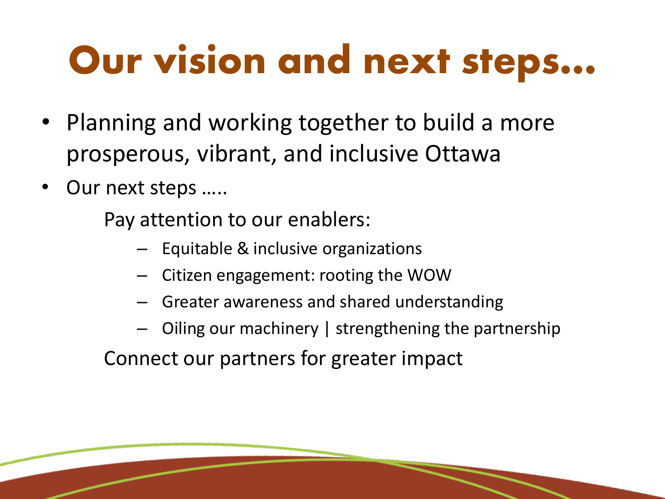## Our vision and next steps…

- Planning and working together to build a more prosperous, vibrant, and inclusive Ottawa
- Our next steps .....

Pay attention to our enablers:

- Equitable & inclusive organizations
- Citizen engagement: rooting the WOW
- Greater awareness and shared understanding
- Oiling our machinery | strengthening the partnership

Connect our partners for greater impact